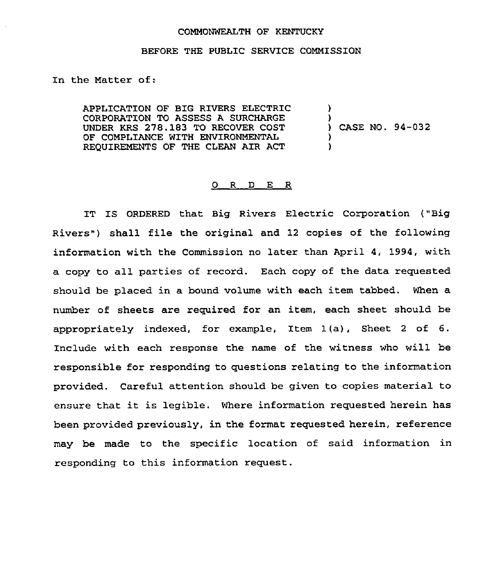## COMMONWEALTH OF KENTUCKY

## BEFORE THE PUBLIC SERVICE COMMISSION

In the Matter of:

APPLICATION OF BIG RIVERS ELECTRIC CORPORATION TO ASSESS A SURCHARGE UNDER KRS 278.183 TO RECOVER COST OF COMPLIANCE WITH ENVIRONMENTAL REQUIREMENTS OF THE CLEAN AIR ACT ) ) )

) ) CASE NO. 94-032

## 0 R <sup>D</sup> E R

IT IS ORDERED that Big Rivers Electric Corporation ("Big Rivers") shall file the original and 12 copies of the following information with the Commission no later than April 4, 1994, with a copy to all parties of record. Each copy of the data requested should be placed in a bound volume with each item tabbed. When a number of sheets are required for an item, each sheet should be appropriately indexed, for example, Item 1(a), Sheet <sup>2</sup> of 6. Include with each response the name of the witness who will be responsible for responding to questions relating to the information provided. Careful attention should be given to copies material to ensure that it is legible. Where information requested herein has been provided previously, in the format requested herein, reference may be made to the specific location of said information in responding to this information request.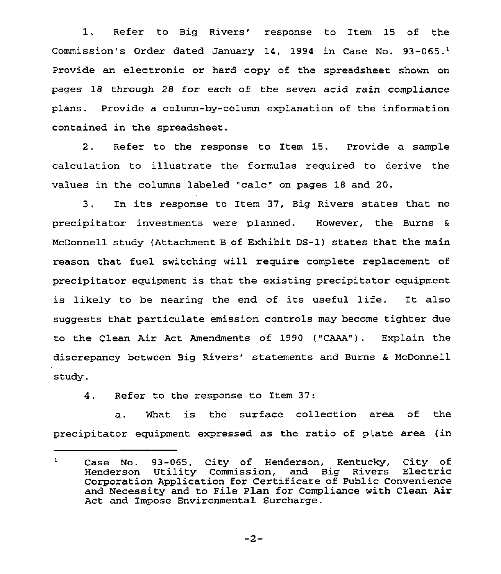1. Refer to Big Rivers' response to Item 15 of the Commission's Order dated January 14, 1994 in Case No. 93-065.<sup>1</sup> Provide an electronic or hard copy of the spreadsheet shown on pages 18 through 28 for each of the seven acid rain compliance plans. Provide a column-by-column explanation of the information contained in the spreadsheet.

<sup>2</sup> . Refer to the response to Item 15. Provide a sample calculation to illustrate the formulas required to derive the values in the columns labeled "calc" on pages <sup>18</sup> and 20.

<sup>3</sup> . In its response to Item 37, Big Rivers states that no precipitator investments were planned. However, the Burns & McDonnell study (Attachment B of Exhibit DS-1) states that the main reason that fuel switching will require complete replacement of precipitator equipment is that the existing precipitator equipment is likely to be nearing the end of its useful life. It also suggests that particulate emission controls may become tighter due to the Clean Air Act Amendments of 1990 {"CAAA"). Explain the discrepancy between Big Rivers' statements and Burns & McDonnell study.

4. Refer to the response to Item 37:

a. What is the surface collection area of the precipitator equipment expressed as the ratio of plate area (in

 $-2-$ 

 $\mathbf{1}$ Case No. 93-065, City of Henderson, Kentucky, City of Henderson Utility Commission, and Big Rivers Electric Henderson Utility Commission, and Big Rivers Electric<br>Corporation Application for Certificate of Public Convenience and Necessity and to File Plan for Compliance with Clean Air Act and Impose Environmental Surcharge.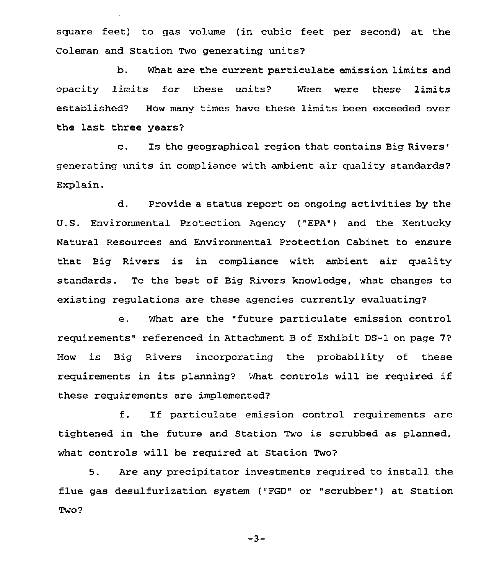square feet) to gas volume (in cubic feet per second) at the Coleman and Station Two generating units?

b. What are the current particulate emission limits and opacity limits for these units? When were these limits established? How many times have these limits been exceeded over the last three years?

c. Is the geographical region that contains Big generating units in compliance with ambient air quality standards? Explain.

d. Provide a status report on ongoing activities by the U.S. Environmental Protection Agency {"EPA") and the Kentucky Natural Resources and Environmental Protection Cabinet to ensure that Big Rivers is in compliance with ambient air quality standards. To the best of Big Rivers knowledge, what changes to existing regulations are these agencies currently evaluating?

e. What are the "future particulate emission control requirements" referenced in Attachment B of Exhibit DS-1 on page 7? How is Big Rivers incorporating the probability of these requirements in its planning? What controls will be required if these requirements are implemented?

f. If particulate emission control requirements are tightened in the future and Station Two is scrubbed as planned, what controls will be required at Station Two?

5. Are any precipitator investments required to install the flue gas desulfurization system ("FGD" or "scrubber") at Station Two?

 $-3-$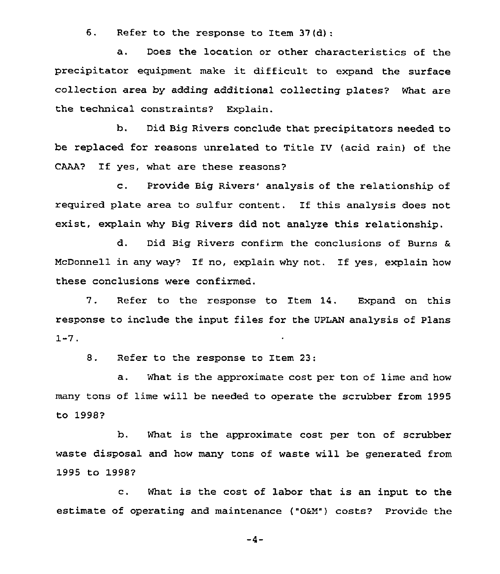6. Refer to the response to Item 37(d)

a. Does the location or other characteristics of the precipitator equipment make it difficult to expand the surface collection area by adding additional collecting plates? What are the technical constraints? Explain.

b. Did Big Rivers conclude that precipitators needed to be replaced for reasons unrelated to Title IV (acid rain) of the CAAA? If yes, what are these reasons?

c. Provide Big Rivers' analysis of the relationship of required plate area to sulfur content. If this analysis does not exist, explain why Big Rivers did not analyze this relationship.

d. Did Big Rivers confirm the conclusions of Burns & McDonneil in any way? If no, explain why not. If yes, explain how these conclusions were confirmed.

7. Refer to the response to Item 14. Expand on this response to include the input files for the UPLAN analysis of Plans 1-7.

8. Refer to the response to Item 23:

a. What is the approximate cost per ton of lime and how many tons of lime will be needed to operate the scrubber from 1995 to 1998?

b. What is the approximate cost per ton of scrubber waste disposal and how many tons of waste will be generated from 1995 to 1998?

c. What is the cost of labor that is an input to the estimate of operating and maintenance ("0&M") costs? Provide the

 $-4-$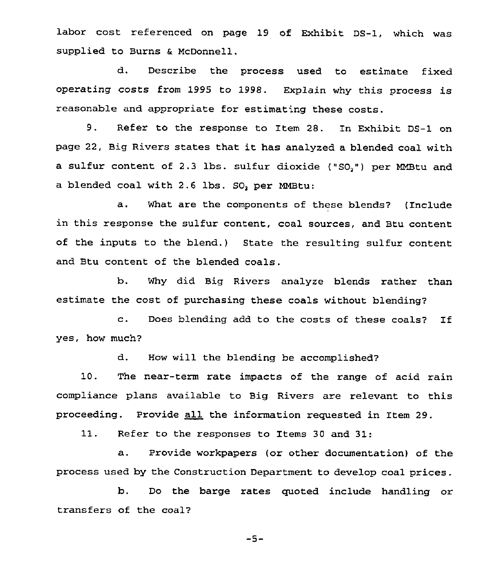labor cost referenced on page 19 of Exhibit DS-1, which was supplied to Burns & McDonnell.

d. Describe the process used to estimate fixed operating costs from 1995 to 1998. Explain why this process is reasonable and appropriate for estimating these costs.

9. Refer to the response to Item 28. In Exhibit DS-1 on page 22, Big Rivers states that it has analyzed <sup>a</sup> blended coal with a sulfur content of 2.3 lbs. sulfur dioxide ("SO,") per MMBtu and a blended coal with 2.6 lbs. SO, per MMBtu:

a, What are the components of these blends'? (Include in this response the sulfur content, coal sources, and Btu content of the inputs to the blend.) State the resulting sulfur content and Btu content of the blended coals.

b. Why did Big Rivers analyze blends rather than estimate the cost of purchasing these coals without blending?

c. Does blending add to the costs of these coals? If yes, how much?

d. How will the blending be accomplished?

10. The near-term rate impacts of the range of acid rain compliance plans available to Big Rivers are relevant to this proceeding. Provide all the information requested in Item 29.

11. Refer to the responses to Items <sup>30</sup> and 31:

a. Provide workpapers (or other documentation) of the process used by the Construction Department to develop coal prices.

b. Do the barge rates quoted include handling or transfers of the coal?

 $-5-$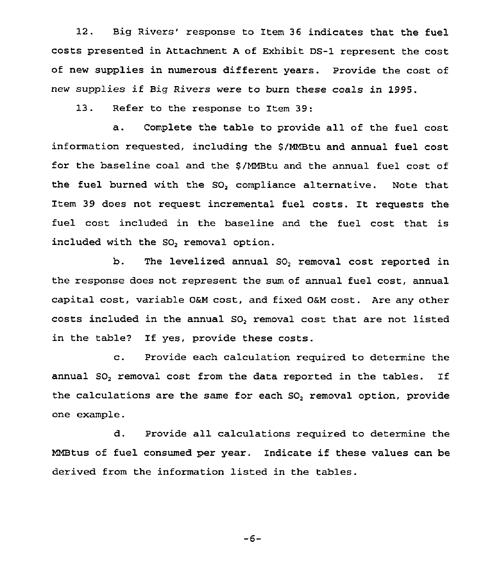12. Big Rivers' response to Item 36 indicates that the fuel costs presented in Attachment <sup>A</sup> of Exhibit DS-1 represent the cost of new supplies in numerous different years. Provide the cost of new supplies if Big Rivers were to burn these coals in 1995.

13. Refer to the response to Item 39:

a. Complete the table to provide all of the fuel cost information requested, including the \$/MMBtu and annual fuel cost for the baseline coal and the \$ /MMBtu and the annual fuel cost of the fuel burned with the SO, compliance alternative. Note that Item <sup>39</sup> does not request incremental fuel costs. It requests the fuel cost included in the baseline and the fuel cost that is included with the SO<sub>2</sub> removal option.

b. The levelized annual SO, removal cost reported in the response does not represent the sum of annual fuel cost, annual capital cost, variable 0&M cost, and fixed 0aM cost. Are any other costs included in the annual SO, removal cost that are not listed in the table? If yes, provide these costs.

c. Provide each calculation required to determine the annual SO<sub>2</sub> removal cost from the data reported in the tables. If the calculations are the same for each SO<sub>2</sub> removal option, provide one example.

d. Provide all calculations required to determine the MMBtus of fuel consumed per year. Indicate if these values can be derived from the information listed in the tables.

$$
-6-
$$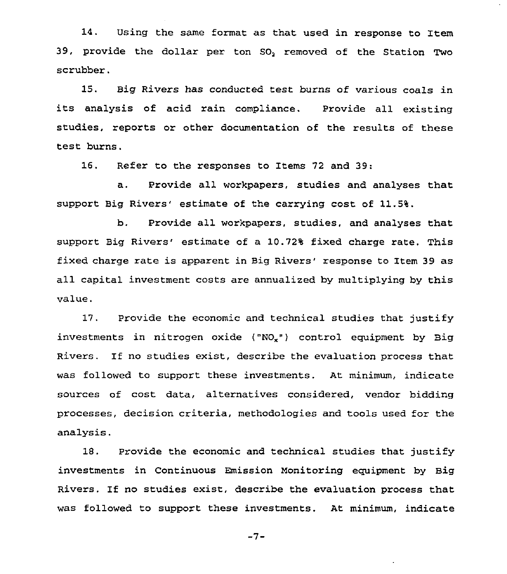14. Using the same format as that used in response to Item 39, provide the dollar per ton SO, removed of the Station Two scrubber.

15. Big Rivers has conducted test burns of various coals in its analysis of acid rain compliance. Provide all existing studies, reports or other documentation of the results of these test burns.

16. Refer to the responses to Items 72 and 39:

a. Provide all workpapers, studies and analyses that support Big Rivers' estimate of the carrying cost of 11.5%.

b. Provide all workpapers, studies, and analyses that support Big Rivers' estimate of a 10.72% fixed charge rate. This fixed charge rate is apparent in Big Rivers' response to Item 39 as all capital investment costs are annualized by multiplying by this value.

17. Provide the economic and technical studies that justify investments in nitrogen oxide  $(^{\circ}NO_x^{\circ})$  control equipment by Big Rivers. If no studies exist, describe the evaluation process that was followed to support these investments. At minimum, indicate sources of cost data, alternatives considered, vendor bidding processes, decision criteria, methodologies and tools used for the analysis.

18. Provide the economic and technical studies that justify investments in Continuous Emission Monitoring equipment by Big Rivers. If no studies exist, describe the evaluation process that was followed to support these investments. At minimum, indicate

 $-7-$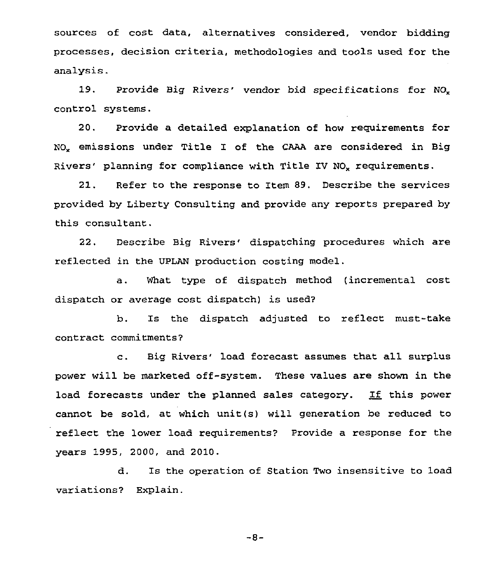sources of cost data, alternatives considered, vendor bidding processes, decision criteria, methodologies and tools used for the analysis.

19. Provide Big Rivers' vendor bid specifications for NO<sub>x</sub> control systems.

20. Provide a detailed explanation of how requirements for NO" emissions under Title I of the CAAA are considered in Big Rivers' planning for compliance with Title IV NO<sub>x</sub> requirements.

21. Refer to the response to Item 89. Describe the services provided by Liberty Consulting and provide any reports prepared by this consultant.

22. Describe Big Rivers' dispatching procedures which are reflected in the UPLAN production costing model.

a. What type of dispatch method (incremental cost dispatch or average cost dispatch) is used?

b. Is the dispatch adjusted to reflect must-take contract commitments?

c. Big Rivers' load forecast assumes that all surplus power will be marketed off-system. These values are shown in the load forecasts under the planned sales category. If this power cannot be sold, at which unit(s) will generation be reduced to reflect the lower load requirements? Provide a response for the years 1995, 2000, and 2010.

d. Is the operation of Station Two insensitive to load variations? Explain.

 $-8-$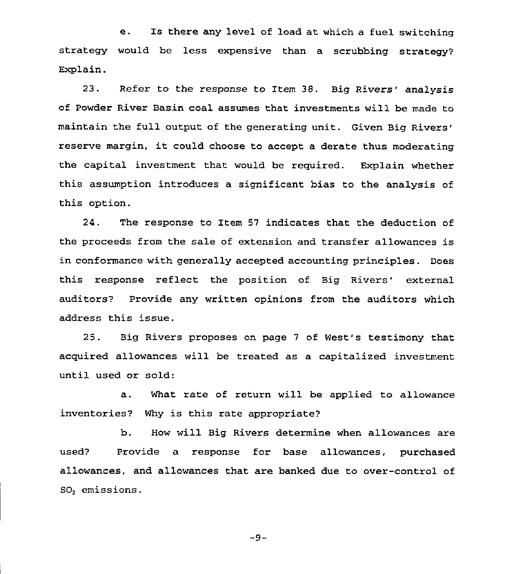e, Is there any level of load at which a fuel switching strategy would be less expensive than a scrubbing strategy' Explain.

23. Refer to the response to Item 38. Big Rivers' analysis of Powder River Basin coal assumes that investments will be made to maintain the full output of the generating unit. Given Big margin, it could choose to accept a derate thus moderatin the capital investment that would be required. Explain whether this assumption introduces a significant bias to the analysis of this option.

24. The response to Item 57 indicates that the deduction of the proceeds from the sale of extension and transfer allowances is in conformance with generally accepted accounting principles. Does this response reflect the position of Big Rivers' external auditors? Provide any written opinions from the auditors which address this issue.

25. Big Rivers proposes on page <sup>7</sup> of West's testimony that acquired allowances will be treated as a capitalized investment until used or sold:

a. What rate of return will be applied to allowance inventories? Why is this rate appropriate?

b. How will Big Rivers determine when allowances are used? Provide a response for base allowances, purchased allowances, and allowances that are banked due to over-control of SO, emissions.

 $-9-$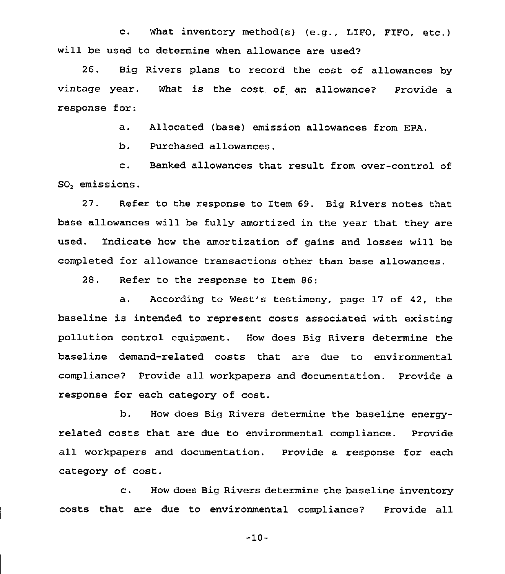c, What inventory method(s) (e.g., LIFO, FIFO, etc.) will be used to determine when allowance are used?

26. Big Rivers plans to record the cost of allowances by vintage year. response for: What is the cost of an allowance? Provide a

a. Allocated (base) emission allowances from EPA.

b. Purchased allowances.

c. Banked allowances that result from over-control of SO, emissions.

27. Refer to the response to Item 69. Big Rivers notes that base allowances will be fully amortized in the year that they are used. Indicate how the amortization of gains and losses will be completed for allowance transactions other than base allowances.

28. Refer to the response to Item 86:

a. According to West's testimony, page 17 of 42, the baseline is intended to represent costs associated with existing pollution control equipment. How does Big Rivers determine the baseline demand-related costs that are due to environmental compliance? Provide all workpapers and documentation. Provide a response for each category of cost.

b. How does Big Rivers determine the baseline energyrelated costs that are due to environmental compliance. Provide all workpapers and documentation. Provide a response for each category of cost.

c. How does Big Rivers determine the baseline inventory costs that are due to environmental compliance? Provide all

 $-10-$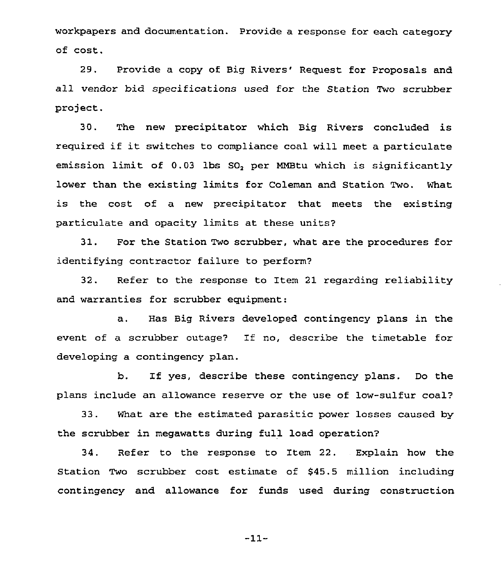workpapers and documentation. Provide a response for each category of cost.

29. Provide a copy of Big Rivers' Request for Proposals and all vendor bid specifications used for the Station Two scrubber project.

30. The new precipitator which Big Rivers concluded is required if it switches to compliance coal will meet <sup>a</sup> particulate emission limit of 0.03 lbs SO, per MMBtu which is significantly lower than the existing limits for Coleman and Station Two. What is the cost of a new precipitator that meets the existing particulate and opacity limits at these units?

31. For the Station Two scrubber, what are the procedures for identifying contractor failure to perform?

32. Refer to the response to Item 21 regarding reliability and warranties for scrubber equipment:

a. Has Big Rivers developed contingency plans in the event of a scrubber outage? If no, describe the timetable for developing a contingency plan.

b. If yes, describe these contingency plans. Do the plans include an allowance reserve or the use of low-sulfur coal?

33. What are the estimated parasitic power losses caused by the scrubber in megawatts during full load operation?

34. Refer to the response to Item 22. Explain how the Station Two scrubber cost estimate of \$45.5 million including contingency and allowance for funds used during construction

-11-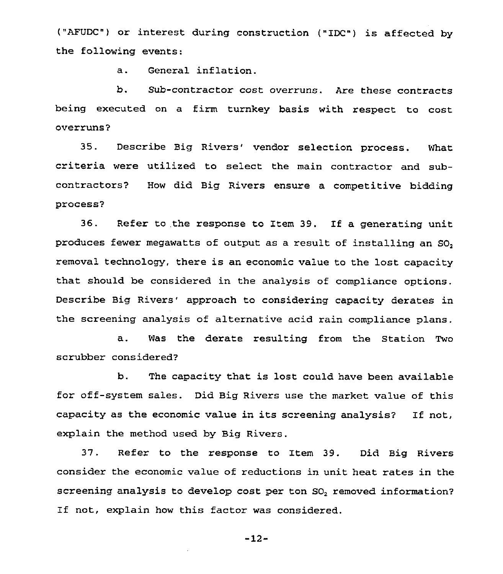("AFUDC") or interest during construction ("IDC") is affected by the following events:

a. General inflation.

b. Sub-contractor cost overruns. Are these contracts being executed on a firm turnkey basis with respect to cost overruns?

35. Describe Big Rivers' vendor selection process. What criteria were utilized to select the main contractor and subcontractors? How did Big Rivers ensure a competitive bidding process'

36. Refer to the response to Item 39. If a generating unit produces fewer megawatts of output as a result of installing an SO, removal technology, there is an economic value to the lost capacity that should be considered in the analysis of compliance options. Describe Big Rivers' approach to considering capacity derates in the screening analysis of alternative acid rain compliance plans.

a. Was the derate resulting from the Station Two scrubber considered?

b. The capacity that is lost could have been available for off-system sales. Did Big Rivers use the market value of this capacity as the economic value in its screening analysis? If not, explain the method used by Big Rivers.

37. Refer to the response to Item 39. Did Big Rivers consider the economic value of reductions in unit heat rates in the screening analysis to develop cost per ton SO<sub>2</sub> removed information? If not, explain how this factor was considered.

 $-12-$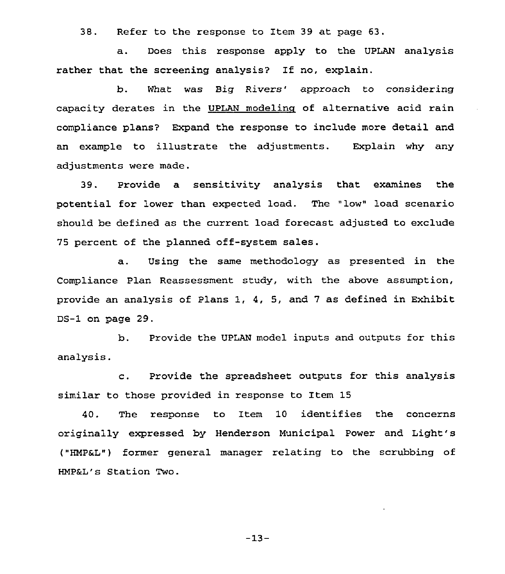38. Refer to the response to Item 39 at page 63.

a. Does this response apply to the UPLAN analysis rather that the screening analysis? If no, explain.

b. What was Big Rivers' approach to considering capacity derates in the UPLAN modelina of alternative acid rain compliance plans? Expand the response to include more detail and an example to illustrate the adjustments. Explain why any adjustments were made.

39. Provide a sensitivity analysis that examines the potential for lower than expected load. The "low" load scenario should be defined as the current load forecast adjusted to exclude 75 percent of the planned off-system sales.

a. Using the same methodology as presented in the Compliance Plan Reassessment study, with the above assumption, provide an analysis of Plans 1, 4, 5, and 7 as defined in Exhibit DS-1 on page 29.

b. Provide the UPLAN model inputs and outputs for this analysis.

c. Provide the spreadsheet outputs for this analysis similar to those provided in response to Item 15

40. The response to Item 10 identifies the concerns originally expressed by Henderson Municipal Power and Light's ("HMPaL") former general manager relating to the scrubbing of HMPaL's Station Two.

-13-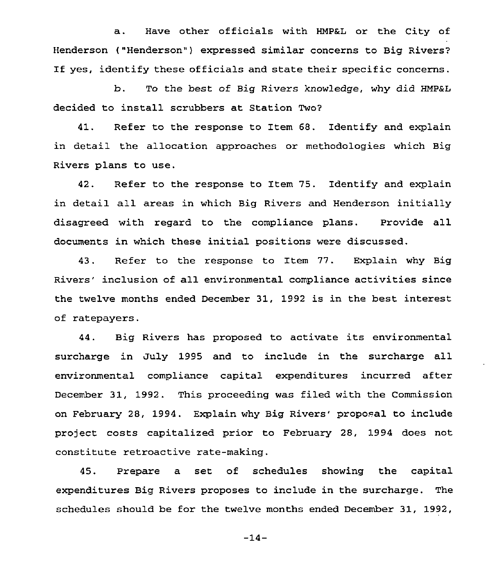a. Have other officials with HMPaL or the City of Henderson ("Henderson") expressed similar concerns to Big Rivers? If yes, identify these officials and state their specific concerns.

b. To the best of Big Rivers knowledge, why did HMP&L decided to install scrubbers at Station Two?

41. Refer to the response to Item 68. Identify and explain in detail the allocation approaches or methodologies which Big Rivers plans to use.

42. Refer to the response to Item 75. Identify and explain in detail all areas in which Big Rivers and Henderson initially disagreed with regard to the compliance plans. Provide all documents in which these initial positions were discussed.

43. Refer to the response to Item 77. Explain why Big Rivers' inclusion of all environmental compliance activities since the twelve months ended December 31, 1992 is in the best interest of ratepayers.

44. Big Rivers has proposed to activate its environmental surcharge in July 1995 and to include in the surcharge all environmental compliance capital expenditures incurred after December 31, 1992. This proceeding was filed with the Commission on February 28, 1994. Explain why Big Rivers' proposal to include project costs capitalized prior to February 28, 1994 does not constitute retroactive rate-making.

45. Prepare a set of schedules showing the capital expenditures Big Rivers proposes to include in the surcharge. The schedules should be for the twelve months ended December 31, 1992,

 $-14-$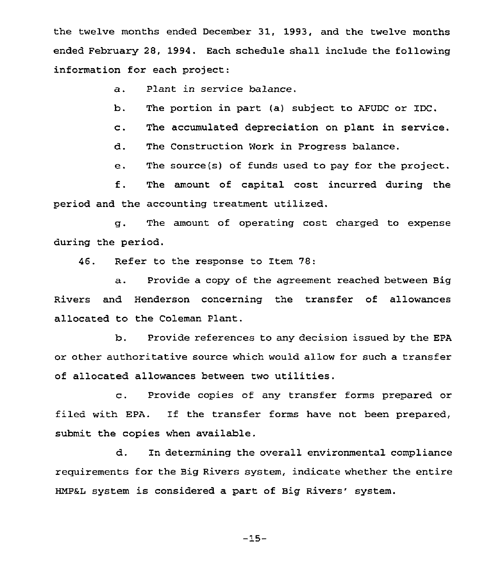the twelve months ended December 31, 1993, and the twelve months ended February 28, 1994. Each schedule shall include the following information for each project:

a. Plant in service balance.

b. The portion in part (al subject to AFUDC or IDC.

c. The accumulated depreciation on plant in service.

d. The Construction Work in Progress balance.

e. The source(s) of funds used to pay for the project.

f. The amount of capital cost incurred during the period and the accounting treatment utilized.

g. The amount of operating cost charged to expense during the period.

46. Refer to the response to Item 78:

a. Provide <sup>a</sup> copy of the agreement reached between Big Rivers and Henderson concerning the transfer of allowances allocated to the Coleman Plant.

b. Provide references to any decision issued by the EPA or other authoritative source which would allow for such a transfer of allocated allowances between two utilities.

c. Provide copies of any transfer forms prepared or filed with EPA. If the transfer forms have not been prepared, submit the copies when available.

d. In determining the overall environmental compliance requirements for the Big Rivers system, indicate whether the entire HMP&L system is considered a part of Big Rivers' system.

-15-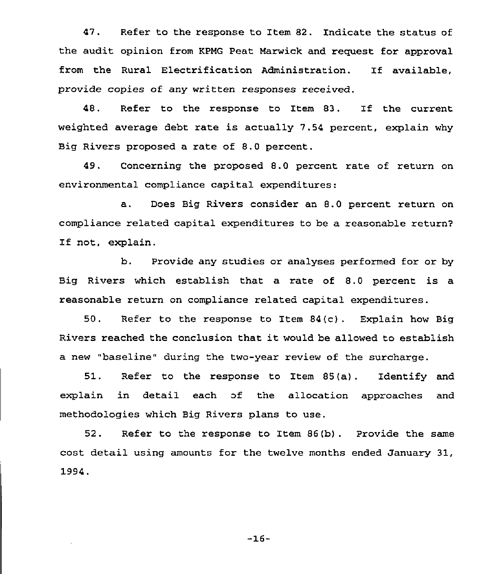47. Pefer to the response to Item 82. Indicate the status of the audit opinion from KPMG Peat Marwick and request for approval from the Rural Electrification Administration. If available, provide copies of any written responses received.

48. Refer to the response to Item 83. If the current weighted average debt rate is actually 7.54 percent, explain why Big Rivers proposed a rate of 8.0 percent.

49. Concerning the proposed 8.0 percent rate of return on environmental compliance capital expenditures:

a. Does Big Rivers consider an 8.0 percent return on compliance related capital expenditures to be a reasonable return7 If not, explain.

b. Provide any studies or analyses performed for or by Big Rivers which establish that a rate of 8.0 percent is a reasonable return on compliance related capital expenditures.

50. Refer to the response to Item 84(c). Explain how Big Rivers reached the conclusion that it would be allowed to establish a new "baseline" during the two-year review of the surcharge.

51. Refer to the response to Item 85(a). Identify and explain in detail each of the allocation approaches and methodologies which Big Rivers plans to use.

<sup>52</sup> . Refer to the response to Item 86(b) . Provide the same cost detail using amounts for the twelve months ended January 31, 1994.

 $-16-$